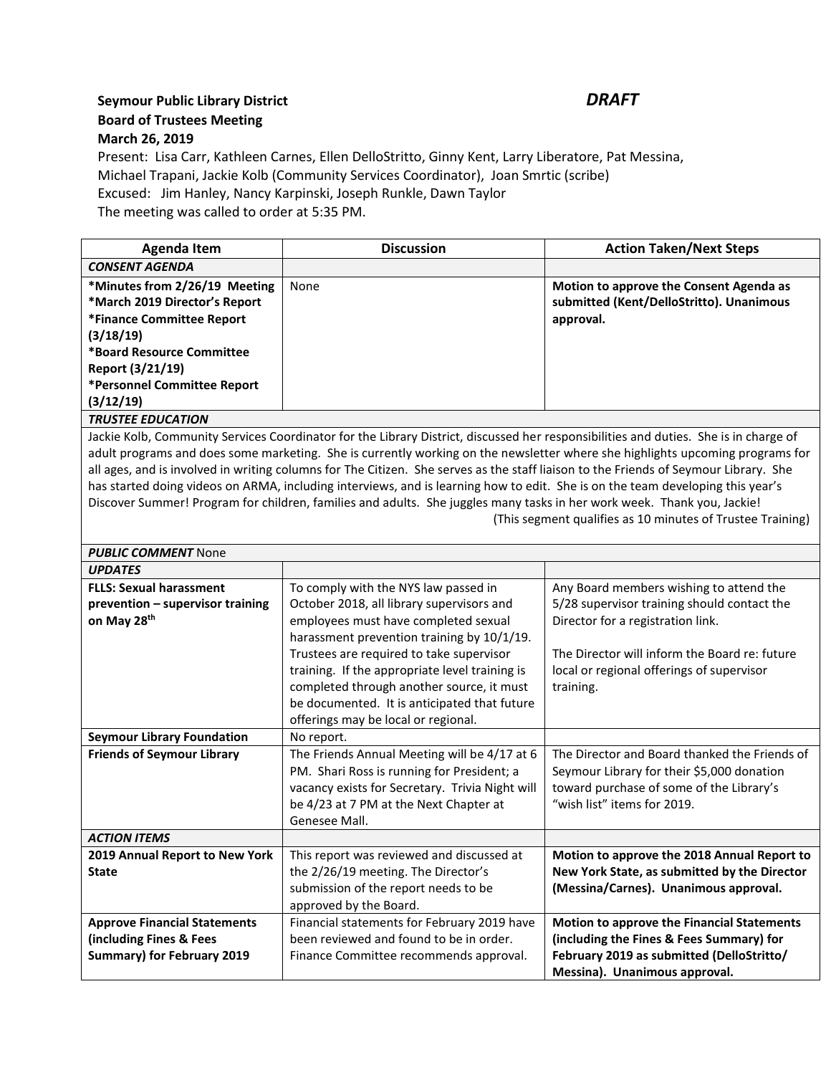## **Seymour Public Library District** *DRAFT* **Board of Trustees Meeting March 26, 2019**

Present: Lisa Carr, Kathleen Carnes, Ellen DelloStritto, Ginny Kent, Larry Liberatore, Pat Messina, Michael Trapani, Jackie Kolb (Community Services Coordinator), Joan Smrtic (scribe) Excused: Jim Hanley, Nancy Karpinski, Joseph Runkle, Dawn Taylor The meeting was called to order at 5:35 PM.

| Agenda Item                   | <b>Discussion</b> | <b>Action Taken/Next Steps</b>           |
|-------------------------------|-------------------|------------------------------------------|
| <b>CONSENT AGENDA</b>         |                   |                                          |
| *Minutes from 2/26/19 Meeting | None              | Motion to approve the Consent Agenda as  |
| *March 2019 Director's Report |                   | submitted (Kent/DelloStritto). Unanimous |
| *Finance Committee Report     |                   | approval.                                |
| (3/18/19)                     |                   |                                          |
| *Board Resource Committee     |                   |                                          |
| Report (3/21/19)              |                   |                                          |
| *Personnel Committee Report   |                   |                                          |
| (3/12/19)                     |                   |                                          |
| <b>TRUSTEE EDUCATION</b>      |                   |                                          |

Jackie Kolb, Community Services Coordinator for the Library District, discussed her responsibilities and duties. She is in charge of adult programs and does some marketing. She is currently working on the newsletter where she highlights upcoming programs for all ages, and is involved in writing columns for The Citizen. She serves as the staff liaison to the Friends of Seymour Library. She has started doing videos on ARMA, including interviews, and is learning how to edit. She is on the team developing this year's Discover Summer! Program for children, families and adults. She juggles many tasks in her work week. Thank you, Jackie! (This segment qualifies as 10 minutes of Trustee Training)

| <b>PUBLIC COMMENT None</b>                                                                          |                                                                                                                                                                                                                                                                                                                                                                                                           |                                                                                                                                                                                                                                        |  |
|-----------------------------------------------------------------------------------------------------|-----------------------------------------------------------------------------------------------------------------------------------------------------------------------------------------------------------------------------------------------------------------------------------------------------------------------------------------------------------------------------------------------------------|----------------------------------------------------------------------------------------------------------------------------------------------------------------------------------------------------------------------------------------|--|
| <b>UPDATES</b>                                                                                      |                                                                                                                                                                                                                                                                                                                                                                                                           |                                                                                                                                                                                                                                        |  |
| <b>FLLS: Sexual harassment</b><br>prevention - supervisor training<br>on May 28th                   | To comply with the NYS law passed in<br>October 2018, all library supervisors and<br>employees must have completed sexual<br>harassment prevention training by 10/1/19.<br>Trustees are required to take supervisor<br>training. If the appropriate level training is<br>completed through another source, it must<br>be documented. It is anticipated that future<br>offerings may be local or regional. | Any Board members wishing to attend the<br>5/28 supervisor training should contact the<br>Director for a registration link.<br>The Director will inform the Board re: future<br>local or regional offerings of supervisor<br>training. |  |
| <b>Seymour Library Foundation</b>                                                                   | No report.                                                                                                                                                                                                                                                                                                                                                                                                |                                                                                                                                                                                                                                        |  |
| <b>Friends of Seymour Library</b>                                                                   | The Friends Annual Meeting will be 4/17 at 6<br>PM. Shari Ross is running for President; a<br>vacancy exists for Secretary. Trivia Night will<br>be 4/23 at 7 PM at the Next Chapter at<br>Genesee Mall.                                                                                                                                                                                                  | The Director and Board thanked the Friends of<br>Seymour Library for their \$5,000 donation<br>toward purchase of some of the Library's<br>"wish list" items for 2019.                                                                 |  |
| <b>ACTION ITEMS</b>                                                                                 |                                                                                                                                                                                                                                                                                                                                                                                                           |                                                                                                                                                                                                                                        |  |
| 2019 Annual Report to New York<br><b>State</b>                                                      | This report was reviewed and discussed at<br>the 2/26/19 meeting. The Director's<br>submission of the report needs to be<br>approved by the Board.                                                                                                                                                                                                                                                        | Motion to approve the 2018 Annual Report to<br>New York State, as submitted by the Director<br>(Messina/Carnes). Unanimous approval.                                                                                                   |  |
| <b>Approve Financial Statements</b><br>(including Fines & Fees<br><b>Summary) for February 2019</b> | Financial statements for February 2019 have<br>been reviewed and found to be in order.<br>Finance Committee recommends approval.                                                                                                                                                                                                                                                                          | <b>Motion to approve the Financial Statements</b><br>(including the Fines & Fees Summary) for<br>February 2019 as submitted (DelloStritto/<br>Messina). Unanimous approval.                                                            |  |